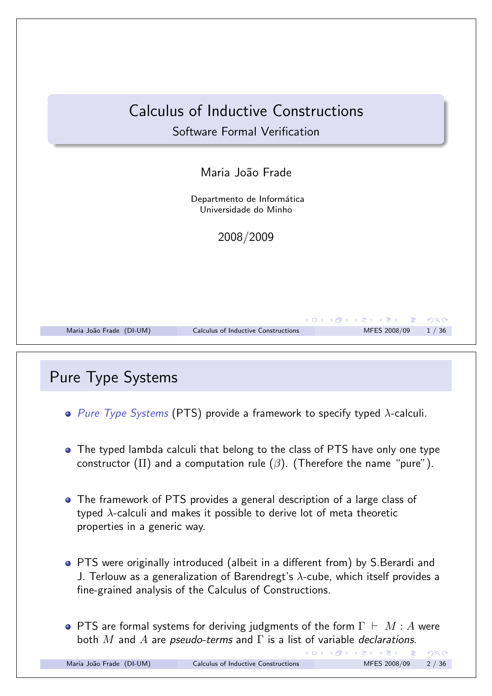

## Pure Type Systems

- *Pure Type Systems* (PTS) provide a framework to specify typed λ-calculi.
- The typed lambda calculi that belong to the class of PTS have only one type constructor ( $\Pi$ ) and a computation rule ( $\beta$ ). (Therefore the name "pure").
- The framework of PTS provides a general description of a large class of typed  $\lambda$ -calculi and makes it possible to derive lot of meta theoretic properties in a generic way.
- PTS were originally introduced (albeit in a different from) by S.Berardi and J. Terlouw as a generalization of Barendregt's  $\lambda$ -cube, which itself provides a fine-grained analysis of the Calculus of Constructions.
- **•** PTS are formal systems for deriving judgments of the form  $\Gamma \vdash M : A$  were both *M* and *A* are *pseudo-terms* and Γ is a list of variable *declarations*.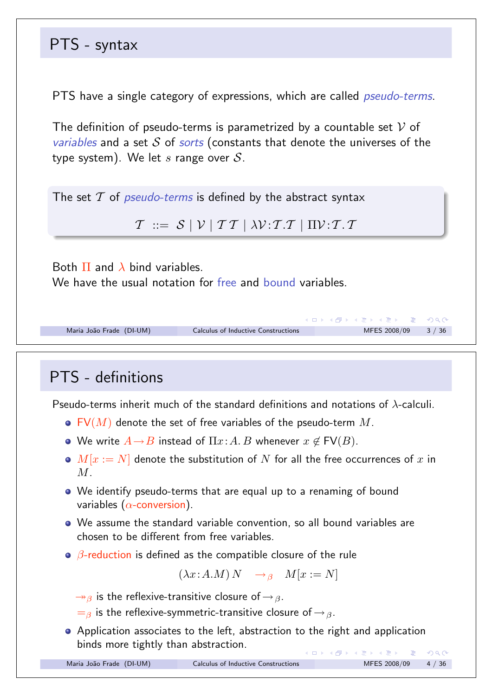# PTS - syntax

PTS have a single category of expressions, which are called *pseudo-terms*.

The definition of pseudo-terms is parametrized by a countable set *V* of *variables* and a set *S* of *sorts* (constants that denote the universes of the type system). We let *s* range over *S*.

The set *T* of *pseudo-terms* is defined by the abstract syntax

 $T \coloneqq S \mid V \mid T T \mid \lambda V : T T \mid \Pi V : T T$ 

Both  $\Pi$  and  $\lambda$  bind variables.

We have the usual notation for free and bound variables.

```
Maria João Frade (DI-UM) Calculus of Inductive Constructions MFES 2008/09 3 / 36
```
# PTS - definitions

Pseudo-terms inherit much of the standard definitions and notations of  $\lambda$ -calculi

- FV(*M*) denote the set of free variables of the pseudo-term *M*.
- We write  $A \rightarrow B$  instead of  $\Pi x:A.B$  whenever  $x \notin FV(B)$ .
- $M[x := N]$  denote the substitution of  $N$  for all the free occurrences of  $x$  in *M*.
- We identify pseudo-terms that are equal up to a renaming of bound variables  $(\alpha$ -conversion).
- We assume the standard variable convention, so all bound variables are chosen to be different from free variables.
- $\theta$ -reduction is defined as the compatible closure of the rule

 $(\lambda x:A.M) N \rightarrow_{\beta} M[x := N]$ 

 $\rightarrow$ <sub>β</sub> is the reflexive-transitive closure of  $\rightarrow$  <sub>β</sub>.

 $=$ β is the reflexive-symmetric-transitive closure of  $\rightarrow$   $\beta$ .

**•** Application associates to the left, abstraction to the right and application binds more tightly than abstraction. K □ ▶ K @ ▶ K 할 ▶ K 할 ▶ → 할 → 9 Q @

メロメ メ御 メメモメメモメン 老い

 $R$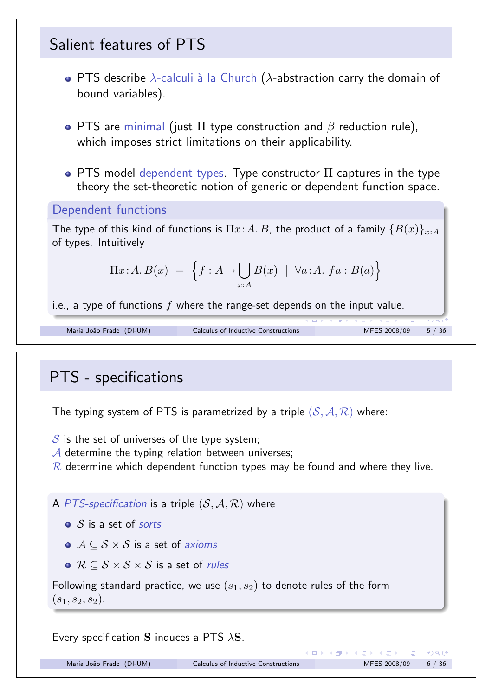![](_page_2_Figure_0.jpeg)

*S* is the set of universes of the type system;

A determine the typing relation between universes;

*R* determine which dependent function types may be found and where they live.

A PTS-specification is a triple  $(S, A, R)$  where

- *S* is a set of *sorts*
- *A* ⊆ *S* × *S* is a set of *axioms*
- *R* ⊆ *S* × *S* × *S* is a set of *rules*

Following standard practice, we use  $(s_1, s_2)$  to denote rules of the form  $(s_1, s_2, s_2).$ 

Every specification S induces a PTS  $\lambda$ S.

Maria João Frade (DI-UM) Calculus of Inductive Constructions MFES 2008/09 6 / 36

舌

 $QQ$ 

イロト イ部 トイミト イミト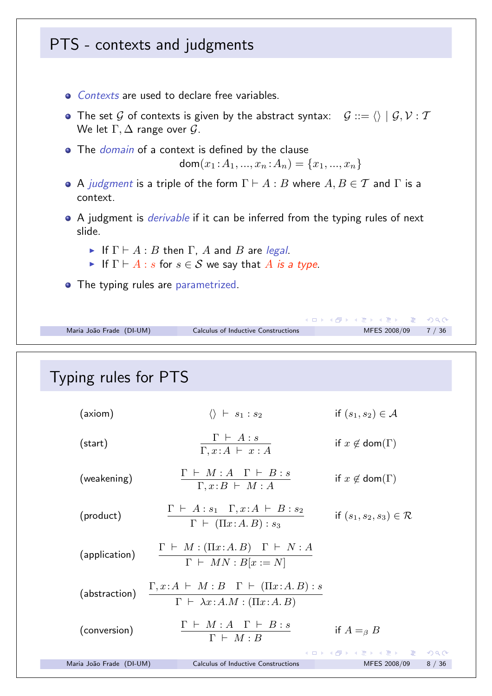![](_page_3_Figure_0.jpeg)

## Typing rules for PTS

| (axiom)                  | $\langle\rangle$ $\vdash$ $s_1$ : $s_2$                                                                                | if $(s_1, s_2) \in \mathcal{A}$      |      |
|--------------------------|------------------------------------------------------------------------------------------------------------------------|--------------------------------------|------|
| (start)                  | $\Gamma \vdash A : s$<br>$\Gamma, x:A \vdash x:A$                                                                      | if $x \notin \text{dom}(\Gamma)$     |      |
| (weakening)              | $\Gamma \vdash M : A \quad \Gamma \vdash B : s$<br>$\Gamma, x \colon B \vdash M : A$                                   | if $x \notin \text{dom}(\Gamma)$     |      |
| (product)                | $\Gamma \vdash A : s_1 \quad \Gamma, x : A \vdash B : s_2$<br>$\Gamma \vdash (\Pi x:A.B): s_3$                         | if $(s_1, s_2, s_3) \in \mathcal{R}$ |      |
| (application)            | $\frac{\Gamma~\vdash~M : (\Pi x{:}A.B) \quad \Gamma~\vdash~N : A}{\Gamma~\vdash~MN : B[x := N]}$                       |                                      |      |
| (abstraction)            | $\frac{\Gamma,x:A \;\vdash\; M:B \quad \Gamma \;\vdash\; (\Pi x:A.B): s}{\Gamma \;\vdash\; \lambda x:A.M:(\Pi x:A.B)}$ |                                      |      |
| (conversion)             | $\Gamma \vdash M : A \quad \Gamma \vdash B : s$<br>$\Gamma \vdash M : B$                                               | if $A =_{\beta} B$                   |      |
|                          |                                                                                                                        | ◀ㅁ▶ ◀母▶ ◀불▶ ◀불▶ │ 볼│ ⊙٩⊙             |      |
| Maria João Frade (DI-UM) | Calculus of Inductive Constructions                                                                                    | MFES 2008/09                         | 8/36 |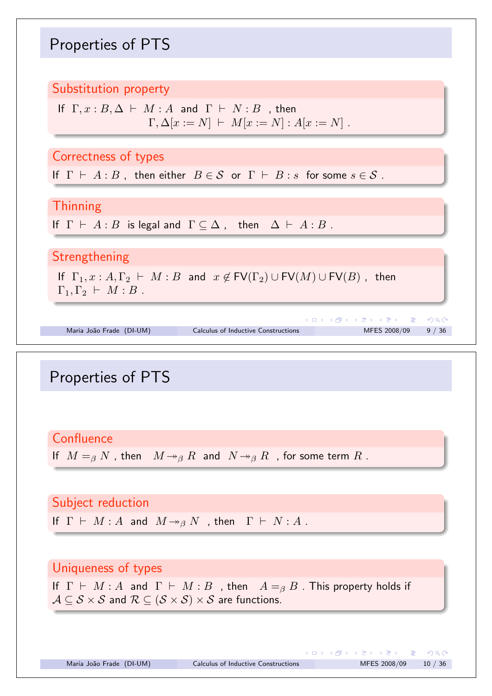## Properties of PTS

#### Substitution property

$$
\begin{array}{l} \text{If} \;\; \Gamma, x: B, \Delta \;\vdash\; M: A \;\;\text{and} \;\; \Gamma \;\vdash\; N: B \ \ \, \text{, then} \\ \Gamma, \Delta[x:=N] \;\vdash\; M[x:=N] : A[x:=N] \; . \end{array}
$$

Correctness of types

If  $\Gamma \vdash A : B$ , then either  $B \in \mathcal{S}$  or  $\Gamma \vdash B : s$  for some  $s \in \mathcal{S}$ .

**Thinning** 

If  $\Gamma \vdash A : B$  is legal and  $\Gamma \subseteq \Delta$ , then  $\Delta \vdash A : B$ .

Strengthening

If  $\Gamma_1, x : A, \Gamma_2 \vdash M : B$  and  $x \notin FV(\Gamma_2) \cup FV(M) \cup FV(B)$ , then  $\Gamma_1, \Gamma_2 \vdash M : B$ .

メロトメ 伊 トメ 君 トメ 君 トッ 君 Maria João Frade (DI-UM) Calculus of Inductive Constructions MFES 2008/09 9/36

## Properties of PTS

**Confluence** 

If  $M = g N$ , then  $M \rightarrow g R$  and  $N \rightarrow g R$ , for some term R.

Subject reduction If  $\Gamma \vdash M : A$  and  $M \rightarrow_{\beta} N$  , then  $\Gamma \vdash N : A$ .

#### Uniqueness of types

If  $\Gamma \vdash M : A$  and  $\Gamma \vdash M : B$ , then  $A =_{\beta} B$ . This property holds if  $A \subseteq S \times S$  and  $R \subseteq (S \times S) \times S$  are functions.

 $2Q$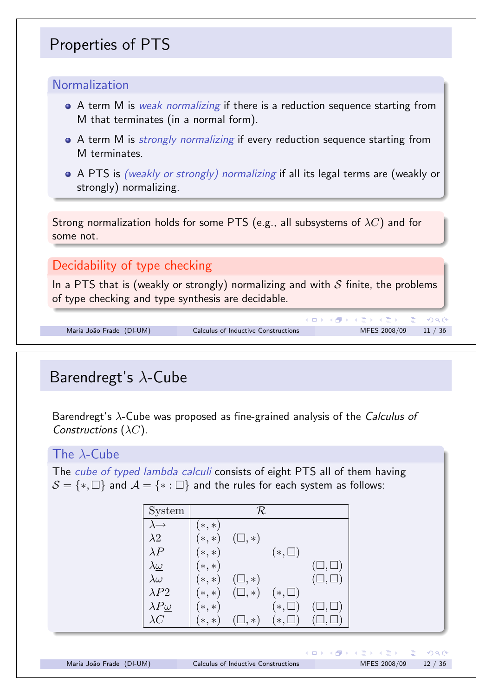# Properties of PTS

#### Normalization

- A term M is *weak normalizing* if there is a reduction sequence starting from M that terminates (in a normal form).
- A term M is *strongly normalizing* if every reduction sequence starting from M terminates.
- A PTS is *(weakly or strongly) normalizing* if all its legal terms are (weakly or strongly) normalizing.

Strong normalization holds for some PTS (e.g., all subsystems of λ*C*) and for some not.

#### Decidability of type checking

In a PTS that is (weakly or strongly) normalizing and with *S* finite, the problems of type checking and type synthesis are decidable.

```
Maria João Frade (DI-UM) Calculus of Inductive Constructions MFES 2008/09 11 / 36
```
# Barendregt's λ-Cube

Barendregt's λ-Cube was proposed as fine-grained analysis of the *Calculus of Constructions* (λ*C*).

#### The  $\lambda$ -Cube

The *cube of typed lambda calculi* consists of eight PTS all of them having  $S = \{*, \Box\}$  and  $\mathcal{A} = \{*, : \Box\}$  and the rules for each system as follows:

| System                |               | R              |               |                   |
|-----------------------|---------------|----------------|---------------|-------------------|
| $\lambda \rightarrow$ | $(*,*)$       |                |               |                   |
| $\lambda 2$           | $(*,*)$       | $(\Box, *)$    |               |                   |
| $\lambda P$           | $(*,*)$       |                | $(*,\square)$ |                   |
| $\lambda \omega$      | $(*,*)$       |                |               | $(\sqcup,\sqcup)$ |
| $\lambda \omega$      | $(\ast,\ast)$ | $(\Box, *)$    |               | $(\Box, \Box)$    |
| $\lambda P2$          | $(*,*)$       | $(\Box, *)$    | $(*,\square)$ |                   |
| $\lambda P\omega$     | $(*,*)$       |                | $(*,\square)$ | $(\Box, \Box)$    |
| $\lambda C$           | $(\ast,\ast)$ | $\Box$ , $*$ ) | $(*,\square)$ | $\Box, \Box)$     |

K ロ ▶ K 個 ▶ K 결 ▶ K 결 ▶ │ 결

 $DQ$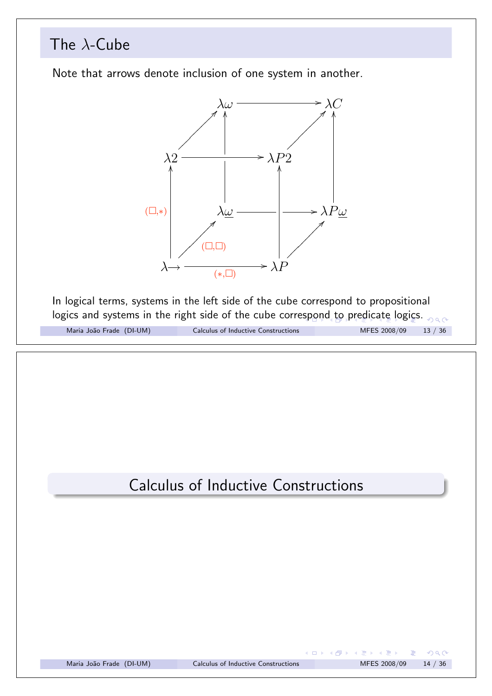![](_page_6_Figure_0.jpeg)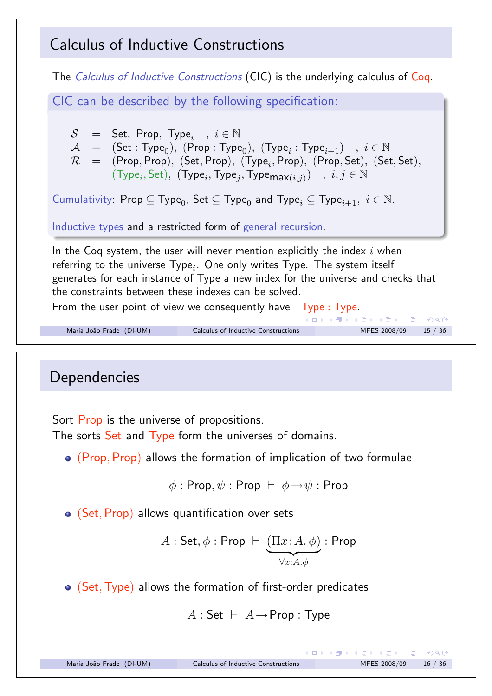## Calculus of Inductive Constructions

The *Calculus of Inductive Constructions* (CIC) is the underlying calculus of Coq. CIC can be described by the following specification:  $S =$  Set, Prop, Type<sub>i</sub>,  $i \in \mathbb{N}$  $\mathcal{A}$  = (Set : Type<sub>0</sub>), (Prop : Type<sub>0</sub>), (Type<sub>*i*</sub> : Type<sub>*i*+1</sub>) *, i*  $\in \mathbb{N}$  $\mathcal{R}$  = (Prop, Prop)*,* (Set, Prop)*,* (Type<sub>*i*</sub>, Prop)*,* (Prop, Set)*,* (Set, Set)*,*  $(Type_i, Set)$ ,  $(Type_i, Type_j, Type_{max(i,j)})$ ,  $i, j \in \mathbb{N}$ Cumulativity: Prop  $\subseteq$  Type<sub>0</sub>, Set  $\subseteq$  Type<sub>0</sub> and Type<sub>*i*</sub>  $\subseteq$  Type<sub>*i*+1</sub>,  $i \in \mathbb{N}$ . Inductive types and a restricted form of general recursion. In the Coq system, the user will never mention explicitly the index *i* when referring to the universe Type*i*. One only writes Type. The system itself generates for each instance of Type a new index for the universe and checks that the constraints between these indexes can be solved. From the user point of view we consequently have  $T$ ype :  $T$ ype. K ロ ▶ K 御 ▶ K 唐 ▶ K 唐 ▶ │ 唐  $2Q$ Maria João Frade (DI-UM) Calculus of Inductive Constructions MFES 2008/09 15 / 36

# **Dependencies**

Sort Prop is the universe of propositions.

The sorts Set and Type form the universes of domains.

(Prop*,* Prop) allows the formation of implication of two formulae

$$
\phi : \mathsf{Prop}, \psi : \mathsf{Prop} \;\vdash\; \phi \mathbin{\rightarrow} \psi : \mathsf{Prop}
$$

(Set*,* Prop) allows quantification over sets

$$
A: \mathsf{Set}, \phi : \mathsf{Prop} \vdash \underbrace{(\Pi x : A. \phi)}_{\forall x : A. \phi} : \mathsf{Prop}
$$

(Set*,*Type) allows the formation of first-order predicates

```
A: Set \vdash A \rightarrow Prop : Type
```
舌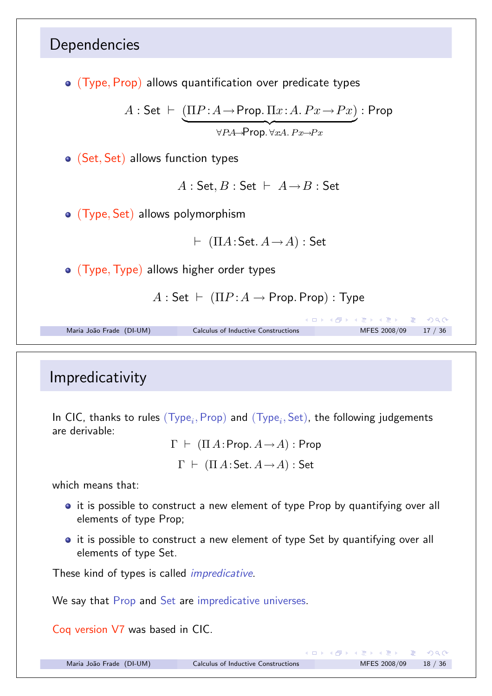![](_page_8_Figure_0.jpeg)

## Impredicativity

In CIC, thanks to rules (Type*i,* Prop) and (Type*i,* Set), the following judgements are derivable:

> $\Gamma \vdash (\Pi A : \textsf{Prop}. A \rightarrow A) : \textsf{Prop}$  $\Gamma \vdash (\Pi A \mathpunct{:} \mathsf{Set} \ldotp A \rightarrow A) : \mathsf{Set}$

which means that:

- it is possible to construct a new element of type Prop by quantifying over all elements of type Prop;
- **•** it is possible to construct a new element of type Set by quantifying over all elements of type Set.

These kind of types is called *impredicative*.

We say that Prop and Set are impredicative universes.

Coq version V7 was based in CIC.

 $OQ$ 

K ロ ▶ K @ ▶ K 할 ▶ K 할 ▶ ... 할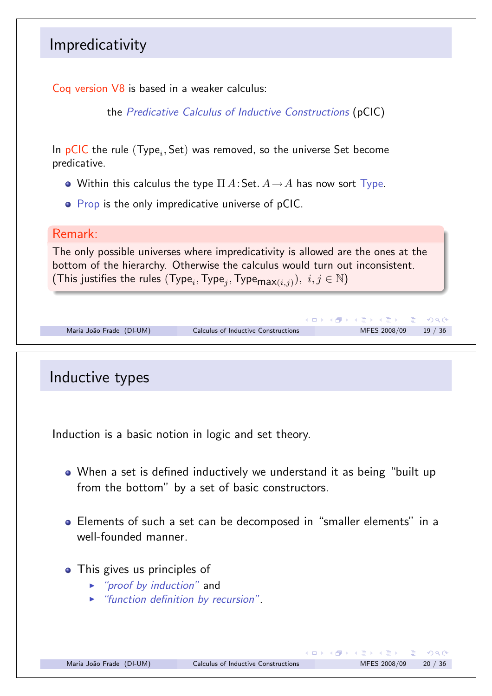## Impredicativity

Coq version V8 is based in a weaker calculus:

the *Predicative Calculus of Inductive Constructions* (pCIC)

In pCIC the rule (Type*i,* Set) was removed, so the universe Set become predicative.

- Within this calculus the type  $\Pi A$ : Set.  $A \rightarrow A$  has now sort  $\text{Type}$ .
- Prop is the only impredicative universe of pCIC.

#### Remark:

The only possible universes where impredicativity is allowed are the ones at the bottom of the hierarchy. Otherwise the calculus would turn out inconsistent. (This justifies the rules (Type<sub>i</sub>, Type<sub>j</sub>, Type<sub>max(i,j)</sub>),  $i, j \in \mathbb{N}$ )

|                          |                                     | - K □ ▶ K 部 ▶ K 로 ▶ K 로 ▶ - 로 - K 이 Q (N - |  |
|--------------------------|-------------------------------------|--------------------------------------------|--|
| Maria João Frade (DI-UM) | Calculus of Inductive Constructions | MFES 2008/09 19 / 36                       |  |
|                          |                                     |                                            |  |

# Inductive types Induction is a basic notion in logic and set theory. When a set is defined inductively we understand it as being "built up from the bottom" by a set of basic constructors. Elements of such a set can be decomposed in "smaller elements" in a well-founded manner. • This gives us principles of ! *"proof by induction"* and ! *"function definition by recursion"*.

 $PQQ$ 

イロト イ部 トイ君 トイ君 トッ君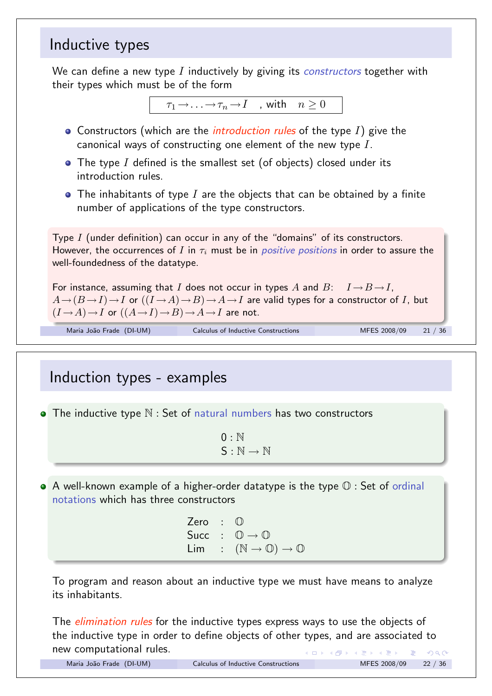## Inductive types

We can define a new type *I* inductively by giving its *constructors* together with their types which must be of the form

```
\tau_1 \rightarrow \ldots \rightarrow \tau_n \rightarrow I , with n \geq 0
```
- Constructors (which are the *introduction rules* of the type *I*) give the canonical ways of constructing one element of the new type *I*.
- The type *I* defined is the smallest set (of objects) closed under its introduction rules.
- The inhabitants of type *I* are the objects that can be obtained by a finite number of applications of the type constructors.

Type *I* (under definition) can occur in any of the "domains" of its constructors. However, the occurrences of  $I$  in  $\tau_i$  must be in *positive positions* in order to assure the well-foundedness of the datatype.

For instance, assuming that *I* does not occur in types *A* and *B*:  $I \rightarrow B \rightarrow I$ ,  $A \rightarrow (B \rightarrow I) \rightarrow I$  or  $((I \rightarrow A) \rightarrow B) \rightarrow A \rightarrow I$  are valid types for a constructor of *I*, but  $(I \rightarrow A) \rightarrow I$  or  $((A \rightarrow I) \rightarrow B) \rightarrow A \rightarrow I$  are not.

Maria João Frade (DI-UM) Calculus of Inductive Constructions MFES 2008/09 21 / 36

# Induction types - examples

 $\bullet$  The inductive type  $\mathbb N$  : Set of natural numbers has two constructors

 $0: \mathbb{N}$  $S : \mathbb{N} \to \mathbb{N}$ 

 $\bullet$  A well-known example of a higher-order datatype is the type  $\mathbb O$  : Set of ordinal notations which has three constructors

> Zero : 1 Succ :  $\mathbb{O} \rightarrow \mathbb{O}$  $Lim : (\mathbb{N} \to \mathbb{O}) \to \mathbb{O}$

To program and reason about an inductive type we must have means to analyze its inhabitants.

The *elimination rules* for the inductive types express ways to use the objects of the inductive type in order to define objects of other types, and are associated to new computational rules. イロト イ団 ト イミト イヨト 一番  $R$ 

|  | Maria João Frade (DI-UM) |
|--|--------------------------|
|  |                          |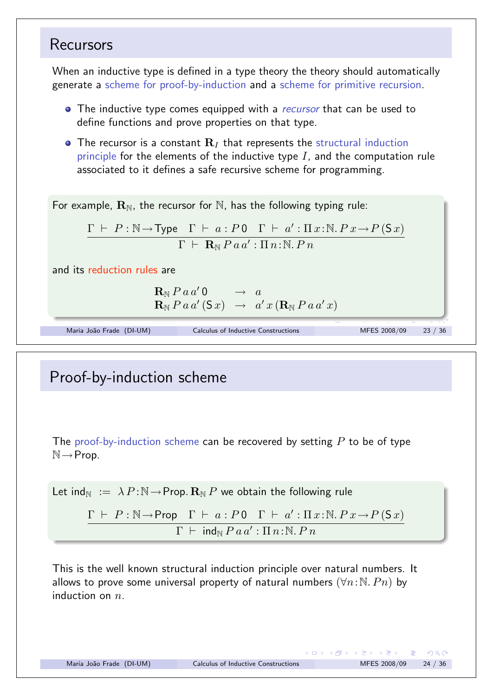#### Recursors

When an inductive type is defined in a type theory the theory should automatically generate a scheme for proof-by-induction and a scheme for primitive recursion.

- The inductive type comes equipped with a *recursor* that can be used to define functions and prove properties on that type.
- $\bullet$  The recursor is a constant  $\mathbf{R}_I$  that represents the structural induction principle for the elements of the inductive type *I*, and the computation rule associated to it defines a safe recursive scheme for programming.

For example,  $\mathbf{R}_{N}$ , the recursor for N, has the following typing rule:

$$
\frac{\Gamma \vdash P : \mathbb{N} \rightarrow \text{Type} \quad \Gamma \vdash a : P \cdot 0 \quad \Gamma \vdash a' : \Pi x : \mathbb{N}. P \cdot x \rightarrow P(\text{S} \cdot x)}{\Gamma \vdash \text{R}_{\mathbb{N}} P \cdot a \cdot a' : \Pi n : \mathbb{N}. P \cdot n}
$$

and its reduction rules are

 $\mathbf{R}_{\mathbb{N}}$  *P* a a' 0  $\rightarrow$  a  $\mathbf{R}_{\mathbb{N}}$  *P a a'* ( $\mathbf{S}$  *x*)  $\rightarrow$  *a' x* ( $\mathbf{R}_{\mathbb{N}}$  *P a a' x*)

Maria João Frade (DI-UM) Calculus of Inductive Constructions MFES 2008/09 23 / 36

## Proof-by-induction scheme

The proof-by-induction scheme can be recovered by setting *P* to be of type  $\mathbb{N} \rightarrow$ Prop.

Let 
$$
ind_N := \lambda P : N \to Prop. \mathbf{R}_N P
$$
 we obtain the following rule  
\n
$$
\frac{\Gamma \vdash P : N \to Prop \quad \Gamma \vdash a : P \cdot 0 \quad \Gamma \vdash a' : \Pi x : N. P \cdot x \to P(\mathsf{S} \cdot x)}{\Gamma \vdash ind_N P \cdot a a' : \Pi n : N. P \cdot n}
$$

This is the well known structural induction principle over natural numbers. It allows to prove some universal property of natural numbers  $(\forall n:\mathbb{N}, P_n)$  by induction on *n*.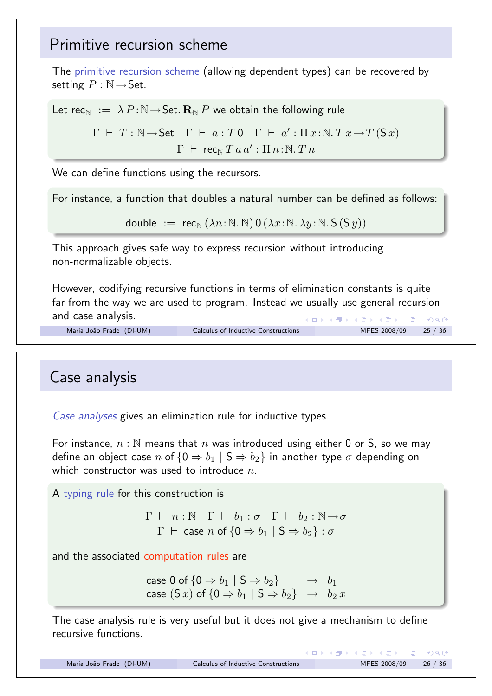### Primitive recursion scheme

The primitive recursion scheme (allowing dependent types) can be recovered by setting  $P : \mathbb{N} \rightarrow$  Set.

Let rec<sub>N</sub> :=  $\lambda P:\mathbb{N} \rightarrow \mathsf{Set}$ .  $\mathbb{R}_{\mathbb{N}} P$  we obtain the following rule

 $\Gamma$   $\vdash$   $T$  :  $\mathbb{N} \rightarrow$  Set  $\Gamma$   $\vdash$   $a$  :  $T$  0  $\Gamma$   $\vdash$   $a'$  :  $\Pi$   $x$  :  $\mathbb{N}$   $\ldots$   $T$   $(T x \rightarrow T(Sx))$  $\Gamma$   $\vdash$  **rec**<sub>N</sub>  $T$   $a$   $a'$  :  $\Pi$   $n$  :  $\mathbb{N}$  .  $T$   $n$ 

We can define functions using the recursors.

For instance, a function that doubles a natural number can be defined as follows:

double :=  $\operatorname{rec}_{\mathbb{N}}(\lambda n:\mathbb{N},\mathbb{N})\mathbf{0}(\lambda x:\mathbb{N},\lambda y:\mathbb{N},\mathsf{S}(\mathsf{S},y))$ 

This approach gives safe way to express recursion without introducing non-normalizable objects.

However, codifying recursive functions in terms of elimination constants is quite far from the way we are used to program. Instead we usually use general recursion and case analysis. K ロ ▶ K @ ▶ K 할 ▶ K 할 ▶ → 할 → 9 Q @

```
Maria João Frade (DI-UM) Calculus of Inductive Constructions MFES 2008/09 25 / 36
```
#### Case analysis

*Case analyses* gives an elimination rule for inductive types.

For instance, *n* : N means that *n* was introduced using either 0 or S, so we may define an object case *n* of  ${0 \Rightarrow b_1 \mid S \Rightarrow b_2}$  in another type  $\sigma$  depending on which constructor was used to introduce *n*.

A typing rule for this construction is

$$
\frac{\Gamma \vdash n : \mathbb{N} \quad \Gamma \vdash b_1 : \sigma \quad \Gamma \vdash b_2 : \mathbb{N} \to \sigma}{\Gamma \vdash \text{case } n \text{ of } \{0 \Rightarrow b_1 \mid S \Rightarrow b_2\} : \sigma}
$$

and the associated computation rules are

 $\c{case 0 \text{ of } \{0 \Rightarrow b_1 \mid S \Rightarrow b_2\}} \rightarrow b_1$  $\mathsf{case} \; (\mathsf{S}\,x) \; \mathsf{of} \; \{ \mathsf{0} \Rightarrow b_1 \; | \; \mathsf{S} \Rightarrow b_2 \} \;\; \rightarrow \;\; b_2 \, x$ 

The case analysis rule is very useful but it does not give a mechanism to define recursive functions.

 $OQ$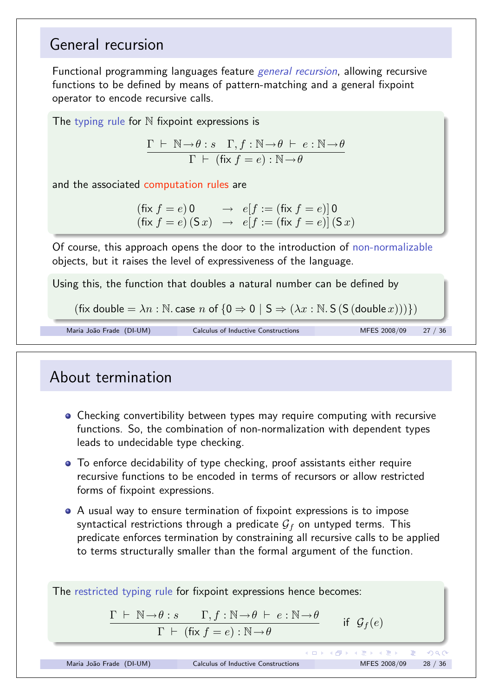## General recursion

Functional programming languages feature *general recursion*, allowing recursive functions to be defined by means of pattern-matching and a general fixpoint operator to encode recursive calls.

The typing rule for  $\mathbb N$  fixpoint expressions is

 $\Gamma \vdash \mathbb{N} \rightarrow \theta : s \quad \Gamma, f : \mathbb{N} \rightarrow \theta \vdash e : \mathbb{N} \rightarrow \theta$  $\Gamma$   $\vdash$  (fix  $f = e$ ) :  $\mathbb{N} \rightarrow \theta$ 

and the associated computation rules are

 $(f \times f = e) 0 \rightarrow e[f := (f \times f = e)] 0$  $(f \times f = e)$   $(S x) \rightarrow e[f := (f \times f = e)]$   $(S x)$ 

Of course, this approach opens the door to the introduction of non-normalizable objects, but it raises the level of expressiveness of the language.

Using this, the function that doubles a natural number can be defined by

```
(fix double = \lambda n : N \cdot case \ n \text{ of } \{0 \Rightarrow 0 \mid S \Rightarrow (\lambda x : N \cdot S (S (double x))))\})
```

```
Maria João Frade (DI-UM) Calculus of Inductive Constructions MFES 2008/09 27 / 36
```
## About termination

- **•** Checking convertibility between types may require computing with recursive functions. So, the combination of non-normalization with dependent types leads to undecidable type checking.
- To enforce decidability of type checking, proof assistants either require recursive functions to be encoded in terms of recursors or allow restricted forms of fixpoint expressions.
- A usual way to ensure termination of fixpoint expressions is to impose syntactical restrictions through a predicate  $G_f$  on untyped terms. This predicate enforces termination by constraining all recursive calls to be applied to terms structurally smaller than the formal argument of the function.

The restricted typing rule for fixpoint expressions hence becomes:  $\Gamma \vdash \mathbb{N} \rightarrow \theta : s \qquad \Gamma, f : \mathbb{N} \rightarrow \theta \vdash e : \mathbb{N} \rightarrow \theta$ if  $\mathcal{G}_f(e)$  $\Gamma$   $\vdash$  (fix  $f = e$ ) :  $\mathbb{N} \rightarrow \theta$ メロメメ 倒 メメ ミメメ ミメー 舌  $OQ$ Maria João Frade (DI-UM) Calculus of Inductive Constructions MFES 2008/09 28 / 36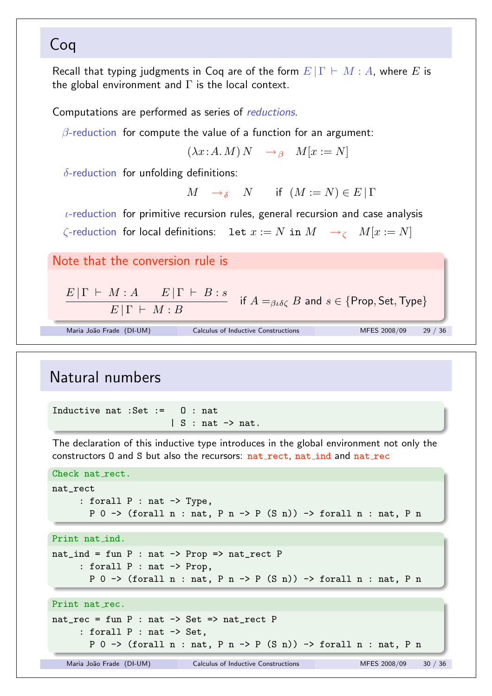## Coq

Recall that typing judgments in Coq are of the form  $E|\Gamma \vdash M : A$ , where *E* is the global environment and  $\Gamma$  is the local context.

Computations are performed as series of *reductions*.

 $\beta$ -reduction for compute the value of a function for an argument:

 $(\lambda x:A, M) N \rightarrow_{\beta} M[x := N]$ 

 $\delta$ -reduction for unfolding definitions:

 $M \rightarrow \delta$  *N* if  $(M := N) \in E | \Gamma$ 

 $\iota$ -reduction for primitive recursion rules, general recursion and case analysis

 $\zeta$ -reduction for local definitions: let  $x := N$  in  $M \to_{\zeta} M[x := N]$ 

Note that the conversion rule is

 $E|\Gamma \vdash M : A \quad E|\Gamma \vdash B : s$  $E|\Gamma \vdash M:B$  $\text{if } A =_{\beta \iota \delta \zeta} B \text{ and } s \in \{\text{Prop}, \text{Set}, \text{Type}\}$ 

Maria João Frade (DI-UM) Calculus of Inductive Constructions MFES 2008/09 29 / 36

# Natural numbers

Inductive nat :Set := O : nat  $| S : nat \rightarrow nat.$ 

The declaration of this inductive type introduces in the global environment not only the constructors 0 and S but also the recursors: nat rect, nat ind and nat rec

```
Check nat_rect.
nat_rect
     : forall P : nat -> Type,
       P 0 -> (forall n : nat, P n \rightarrow P (S n)) -> forall n : nat, P n
```
Print nat ind.

```
nat\_ind = fun P : nat -> Prop => nat\_rect P: forall P : nat -> Prop,
       P 0 -> (forall n : nat, P n \rightarrow P (S n)) -> forall n : nat, P n
```
#### Print nat rec.

```
nat\_rec = fun P : nat -> Set => nat\_rect P: forall P : nat -> Set,
       P 0 -> (forall n : nat, P n \rightarrow P (S n)) -> forall n : nat, P n
```
Maria João Frade (DI-UM) Calculus of Inductive Constructions MFES 2008/09 30 / 36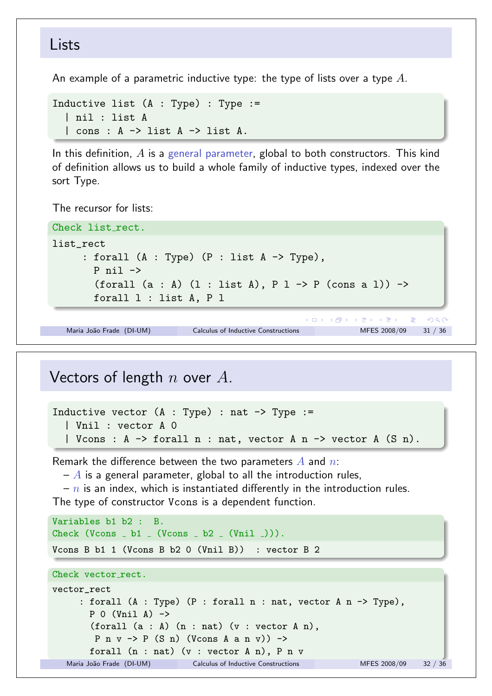#### Lists

An example of a parametric inductive type: the type of lists over a type *A*.

```
Inductive list (A : Type): Type :=
  | nil : list A
  | cons : A -> list A -> list A.
```
In this definition, *A* is a general parameter, global to both constructors. This kind of definition allows us to build a whole family of inductive types, indexed over the sort Type.

The recursor for lists:

```
Check list_rect.
list_rect
      : forall (A : Type) (P : list A \rightarrow Type),
        P nil ->
        (forall (a : A) (1 : list A), P 1 \rightarrow P (cons a 1)) \rightarrowforall l : list A, P l
                                                  メロメメ 倒す メミメメ ミメン 毛
                                                                           2QMaria João Frade (DI-UM) Calculus of Inductive Constructions MFES 2008/09 31 / 36
```
#### Vectors of length *n* over *A*.

```
Inductive vector (A : Type) : nat \rightarrow Type :=
  | Vnil : vector A 0
  | Vcons : A -> forall n : nat, vector A n -> vector A (S n).
```
Remark the difference between the two parameters *A* and *n*:

 $-A$  is a general parameter, global to all the introduction rules,

– *n* is an index, which is instantiated differently in the introduction rules.

The type of constructor Vcons is a dependent function.

```
Variables b1 b2 : B.
Check (Vcons - b1 - (Vcons - b2 - (Vni1 -))).
Vcons B b1 1 (Vcons B b2 0 (Vnil B)) : vector B 2
Check vector_rect.
vector_rect
     : forall (A : Type) (P : forall n : nat, vector A n -> Type),
       P 0 (Vnil A) \rightarrow(forall (a : A) (n : nat) (v : vector A n),
        P n v \rightarrow P (S n) (Vcons A a n v)) \rightarrowforall (n : nat) (v : vector A n), P n v
  Maria João Frade (DI-UM) Calculus of Inductive Constructions MFES 2008/09 32 / 36
```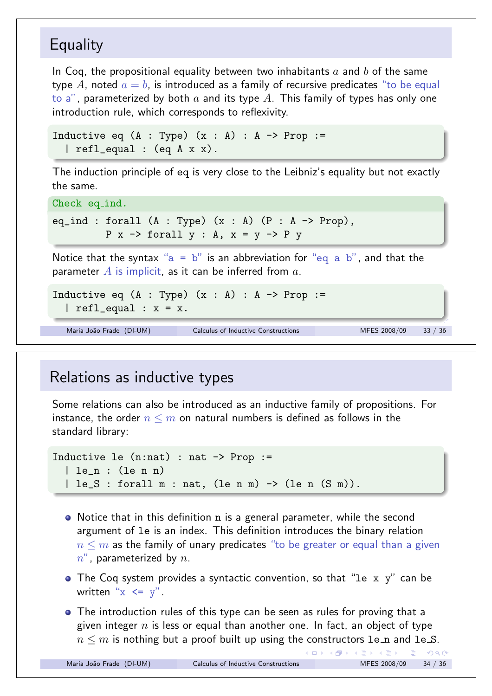## **Equality**

In Coq, the propositional equality between two inhabitants *a* and *b* of the same type A, noted  $a = b$ , is introduced as a family of recursive predicates "to be equal to a", parameterized by both *a* and its type *A*. This family of types has only one introduction rule, which corresponds to reflexivity.

```
Inductive eq (A : Type) (x : A) : A \rightarrow Prop :=| refl_equal : (eq A x x).
```
The induction principle of eq is very close to the Leibniz's equality but not exactly the same.

Check eq ind.

eq\_ind : forall  $(A : Type)$   $(x : A)$   $(P : A \rightarrow Prop)$ ,  $P$  x  $\rightarrow$  forall y : A, x = y  $\rightarrow$  P y

Notice that the syntax " $a = b$ " is an abbreviation for "eq a b", and that the parameter *A* is implicit, as it can be inferred from *a*.

```
Inductive eq (A : Type) (x : A) : A \rightarrow Prop :=| refl| equal : x = x.
```

```
Maria João Frade (DI-UM) Calculus of Inductive Constructions MFES 2008/09 33 / 36
```
## Relations as inductive types

Some relations can also be introduced as an inductive family of propositions. For instance, the order  $n \leq m$  on natural numbers is defined as follows in the standard library:

```
Inductive le (n:nat) : nat \rightarrow Prop :=
   | le_n : (le n n)
   | \text{le}_S : \text{for all } m : \text{nat}, \text{ (le n m)} \rightarrow \text{ (le n (S m))}.
```
- Notice that in this definition n is a general parameter, while the second argument of le is an index. This definition introduces the binary relation  $n \leq m$  as the family of unary predicates "to be greater or equal than a given *n*", parameterized by *n*.
- The Coq system provides a syntactic convention, so that "le x y" can be written " $x \leq y$ ".
- The introduction rules of this type can be seen as rules for proving that a given integer *n* is less or equal than another one. In fact, an object of type *n*  $\leq$  *m* is nothing but a proof built up using the constructors le\_n and le\_S.<br>